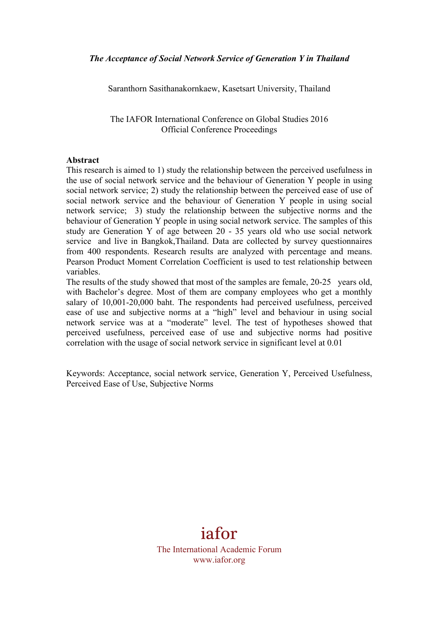Saranthorn Sasithanakornkaew, Kasetsart University, Thailand

The IAFOR International Conference on Global Studies 2016 Official Conference Proceedings

## **Abstract**

This research is aimed to 1) study the relationship between the perceived usefulness in the use of social network service and the behaviour of Generation Y people in using social network service; 2) study the relationship between the perceived ease of use of social network service and the behaviour of Generation Y people in using social network service; 3) study the relationship between the subjective norms and the behaviour of Generation Y people in using social network service. The samples of this study are Generation Y of age between 20 - 35 years old who use social network service and live in Bangkok,Thailand. Data are collected by survey questionnaires from 400 respondents. Research results are analyzed with percentage and means. Pearson Product Moment Correlation Coefficient is used to test relationship between variables.

The results of the study showed that most of the samples are female, 20-25 years old, with Bachelor's degree. Most of them are company employees who get a monthly salary of 10,001-20,000 baht. The respondents had perceived usefulness, perceived ease of use and subjective norms at a "high" level and behaviour in using social network service was at a "moderate" level. The test of hypotheses showed that perceived usefulness, perceived ease of use and subjective norms had positive correlation with the usage of social network service in significant level at 0.01

Keywords: Acceptance, social network service, Generation Y, Perceived Usefulness, Perceived Ease of Use, Subjective Norms

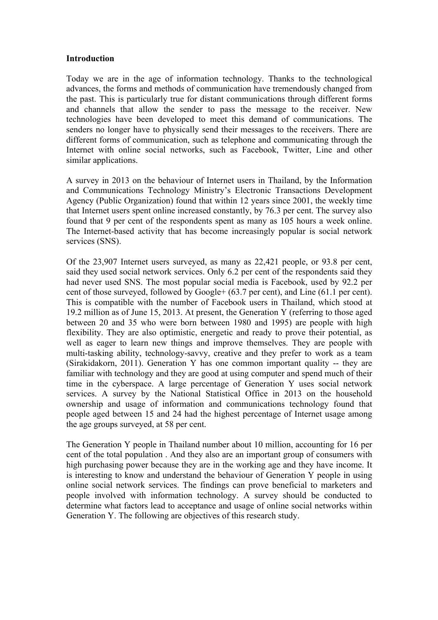#### **Introduction**

Today we are in the age of information technology. Thanks to the technological advances, the forms and methods of communication have tremendously changed from the past. This is particularly true for distant communications through different forms and channels that allow the sender to pass the message to the receiver. New technologies have been developed to meet this demand of communications. The senders no longer have to physically send their messages to the receivers. There are different forms of communication, such as telephone and communicating through the Internet with online social networks, such as Facebook, Twitter, Line and other similar applications.

A survey in 2013 on the behaviour of Internet users in Thailand, by the Information and Communications Technology Ministry's Electronic Transactions Development Agency (Public Organization) found that within 12 years since 2001, the weekly time that Internet users spent online increased constantly, by 76.3 per cent. The survey also found that 9 per cent of the respondents spent as many as 105 hours a week online. The Internet-based activity that has become increasingly popular is social network services (SNS).

Of the 23,907 Internet users surveyed, as many as 22,421 people, or 93.8 per cent, said they used social network services. Only 6.2 per cent of the respondents said they had never used SNS. The most popular social media is Facebook, used by 92.2 per cent of those surveyed, followed by Google+ (63.7 per cent), and Line (61.1 per cent). This is compatible with the number of Facebook users in Thailand, which stood at 19.2 million as of June 15, 2013. At present, the Generation Y (referring to those aged between 20 and 35 who were born between 1980 and 1995) are people with high flexibility. They are also optimistic, energetic and ready to prove their potential, as well as eager to learn new things and improve themselves. They are people with multi-tasking ability, technology-savvy, creative and they prefer to work as a team (Sirakidakorn, 2011). Generation Y has one common important quality -- they are familiar with technology and they are good at using computer and spend much of their time in the cyberspace. A large percentage of Generation Y uses social network services. A survey by the National Statistical Office in 2013 on the household ownership and usage of information and communications technology found that people aged between 15 and 24 had the highest percentage of Internet usage among the age groups surveyed, at 58 per cent.

The Generation Y people in Thailand number about 10 million, accounting for 16 per cent of the total population . And they also are an important group of consumers with high purchasing power because they are in the working age and they have income. It is interesting to know and understand the behaviour of Generation Y people in using online social network services. The findings can prove beneficial to marketers and people involved with information technology. A survey should be conducted to determine what factors lead to acceptance and usage of online social networks within Generation Y. The following are objectives of this research study.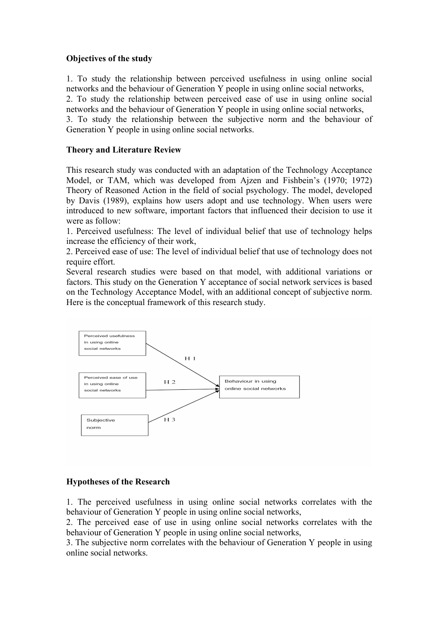## **Objectives of the study**

1. To study the relationship between perceived usefulness in using online social networks and the behaviour of Generation Y people in using online social networks, 2. To study the relationship between perceived ease of use in using online social networks and the behaviour of Generation Y people in using online social networks, 3. To study the relationship between the subjective norm and the behaviour of Generation Y people in using online social networks.

## **Theory and Literature Review**

This research study was conducted with an adaptation of the Technology Acceptance Model, or TAM, which was developed from Ajzen and Fishbein's (1970; 1972) Theory of Reasoned Action in the field of social psychology. The model, developed by Davis (1989), explains how users adopt and use technology. When users were introduced to new software, important factors that influenced their decision to use it were as follow:

1. Perceived usefulness: The level of individual belief that use of technology helps increase the efficiency of their work,

2. Perceived ease of use: The level of individual belief that use of technology does not require effort.

Several research studies were based on that model, with additional variations or factors. This study on the Generation Y acceptance of social network services is based on the Technology Acceptance Model, with an additional concept of subjective norm. Here is the conceptual framework of this research study.



# **Hypotheses of the Research**

1. The perceived usefulness in using online social networks correlates with the behaviour of Generation Y people in using online social networks,

2. The perceived ease of use in using online social networks correlates with the behaviour of Generation Y people in using online social networks,

3. The subjective norm correlates with the behaviour of Generation Y people in using online social networks.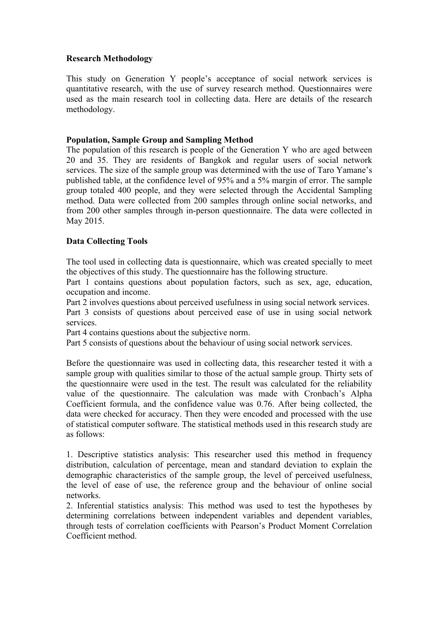## **Research Methodology**

This study on Generation Y people's acceptance of social network services is quantitative research, with the use of survey research method. Questionnaires were used as the main research tool in collecting data. Here are details of the research methodology.

## **Population, Sample Group and Sampling Method**

The population of this research is people of the Generation Y who are aged between 20 and 35. They are residents of Bangkok and regular users of social network services. The size of the sample group was determined with the use of Taro Yamane's published table, at the confidence level of 95% and a 5% margin of error. The sample group totaled 400 people, and they were selected through the Accidental Sampling method. Data were collected from 200 samples through online social networks, and from 200 other samples through in-person questionnaire. The data were collected in May 2015.

# **Data Collecting Tools**

The tool used in collecting data is questionnaire, which was created specially to meet the objectives of this study. The questionnaire has the following structure.

Part 1 contains questions about population factors, such as sex, age, education, occupation and income.

Part 2 involves questions about perceived usefulness in using social network services.

Part 3 consists of questions about perceived ease of use in using social network services.

Part 4 contains questions about the subjective norm.

Part 5 consists of questions about the behaviour of using social network services.

Before the questionnaire was used in collecting data, this researcher tested it with a sample group with qualities similar to those of the actual sample group. Thirty sets of the questionnaire were used in the test. The result was calculated for the reliability value of the questionnaire. The calculation was made with Cronbach's Alpha Coefficient formula, and the confidence value was 0.76. After being collected, the data were checked for accuracy. Then they were encoded and processed with the use of statistical computer software. The statistical methods used in this research study are as follows:

1. Descriptive statistics analysis: This researcher used this method in frequency distribution, calculation of percentage, mean and standard deviation to explain the demographic characteristics of the sample group, the level of perceived usefulness, the level of ease of use, the reference group and the behaviour of online social networks.

2. Inferential statistics analysis: This method was used to test the hypotheses by determining correlations between independent variables and dependent variables, through tests of correlation coefficients with Pearson's Product Moment Correlation Coefficient method.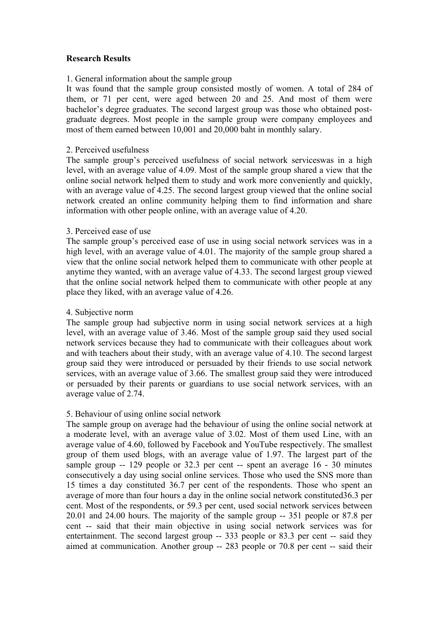### **Research Results**

### 1. General information about the sample group

It was found that the sample group consisted mostly of women. A total of 284 of them, or 71 per cent, were aged between 20 and 25. And most of them were bachelor's degree graduates. The second largest group was those who obtained postgraduate degrees. Most people in the sample group were company employees and most of them earned between 10,001 and 20,000 baht in monthly salary.

### 2. Perceived usefulness

The sample group's perceived usefulness of social network serviceswas in a high level, with an average value of 4.09. Most of the sample group shared a view that the online social network helped them to study and work more conveniently and quickly, with an average value of 4.25. The second largest group viewed that the online social network created an online community helping them to find information and share information with other people online, with an average value of 4.20.

## 3. Perceived ease of use

The sample group's perceived ease of use in using social network services was in a high level, with an average value of 4.01. The majority of the sample group shared a view that the online social network helped them to communicate with other people at anytime they wanted, with an average value of 4.33. The second largest group viewed that the online social network helped them to communicate with other people at any place they liked, with an average value of 4.26.

## 4. Subjective norm

The sample group had subjective norm in using social network services at a high level, with an average value of 3.46. Most of the sample group said they used social network services because they had to communicate with their colleagues about work and with teachers about their study, with an average value of 4.10. The second largest group said they were introduced or persuaded by their friends to use social network services, with an average value of 3.66. The smallest group said they were introduced or persuaded by their parents or guardians to use social network services, with an average value of 2.74.

#### 5. Behaviour of using online social network

The sample group on average had the behaviour of using the online social network at a moderate level, with an average value of 3.02. Most of them used Line, with an average value of 4.60, followed by Facebook and YouTube respectively. The smallest group of them used blogs, with an average value of 1.97. The largest part of the sample group -- 129 people or 32.3 per cent -- spent an average 16 - 30 minutes consecutively a day using social online services. Those who used the SNS more than 15 times a day constituted 36.7 per cent of the respondents. Those who spent an average of more than four hours a day in the online social network constituted36.3 per cent. Most of the respondents, or 59.3 per cent, used social network services between 20.01 and 24.00 hours. The majority of the sample group -- 351 people or 87.8 per cent -- said that their main objective in using social network services was for entertainment. The second largest group -- 333 people or 83.3 per cent -- said they aimed at communication. Another group -- 283 people or 70.8 per cent -- said their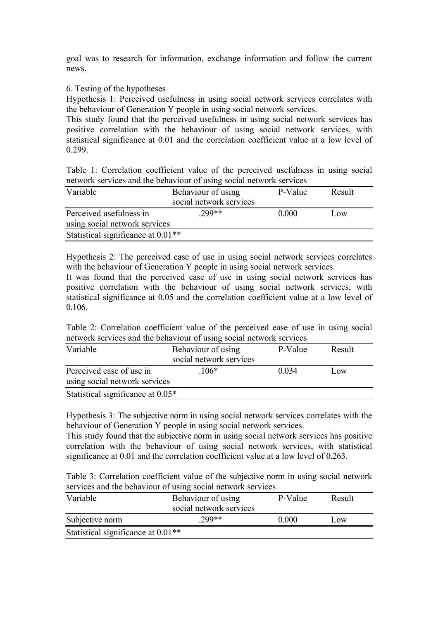goal was to research for information, exchange information and follow the current news.

## 6. Testing of the hypotheses

Hypothesis 1: Perceived usefulness in using social network services correlates with the behaviour of Generation Y people in using social network services.

This study found that the perceived usefulness in using social network services has positive correlation with the behaviour of using social network services, with statistical significance at 0.01 and the correlation coefficient value at a low level of 0.299.

Table 1: Correlation coefficient value of the perceived usefulness in using social network services and the behaviour of using social network services

|                               | P-Value                                       | Result |  |  |  |
|-------------------------------|-----------------------------------------------|--------|--|--|--|
|                               |                                               |        |  |  |  |
| .299**                        | 0.000                                         | Low    |  |  |  |
| using social network services |                                               |        |  |  |  |
|                               |                                               |        |  |  |  |
|                               | Behaviour of using<br>social network services |        |  |  |  |

Hypothesis 2: The perceived ease of use in using social network services correlates with the behaviour of Generation Y people in using social network services.

It was found that the perceived ease of use in using social network services has positive correlation with the behaviour of using social network services, with statistical significance at 0.05 and the correlation coefficient value at a low level of 0.106.

Table 2: Correlation coefficient value of the perceived ease of use in using social network services and the behaviour of using social network services

| Variable                            | Behaviour of using      | P-Value | Result |  |
|-------------------------------------|-------------------------|---------|--------|--|
|                                     | social network services |         |        |  |
| Perceived ease of use in            | $106*$                  | 0.034   | LOW    |  |
| using social network services       |                         |         |        |  |
| Statistical significance at $0.05*$ |                         |         |        |  |

Hypothesis 3: The subjective norm in using social network services correlates with the behaviour of Generation Y people in using social network services.

This study found that the subjective norm in using social network services has positive correlation with the behaviour of using social network services, with statistical significance at 0.01 and the correlation coefficient value at a low level of 0.263.

Table 3: Correlation coefficient value of the subjective norm in using social network services and the behaviour of using social network services

| Variable                                       | Behaviour of using<br>social network services | P-Value | Result |
|------------------------------------------------|-----------------------------------------------|---------|--------|
| Subjective norm                                | $299**$                                       | 0.000   | Low    |
| Statistical significance at 0.01 <sup>**</sup> |                                               |         |        |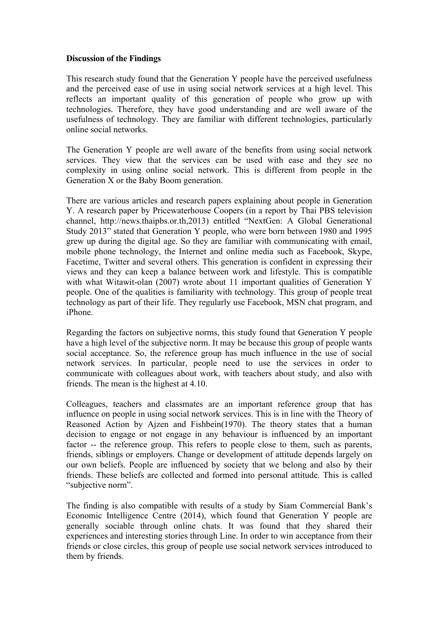### **Discussion of the Findings**

This research study found that the Generation Y people have the perceived usefulness and the perceived ease of use in using social network services at a high level. This reflects an important quality of this generation of people who grow up with technologies. Therefore, they have good understanding and are well aware of the usefulness of technology. They are familiar with different technologies, particularly online social networks.

The Generation Y people are well aware of the benefits from using social network services. They view that the services can be used with ease and they see no complexity in using online social network. This is different from people in the Generation X or the Baby Boom generation.

There are various articles and research papers explaining about people in Generation Y. A research paper by Pricewaterhouse Coopers (in a report by Thai PBS television channel, http://news.thaipbs.or.th,2013) entitled "NextGen: A Global Generational Study 2013" stated that Generation Y people, who were born between 1980 and 1995 grew up during the digital age. So they are familiar with communicating with email, mobile phone technology, the Internet and online media such as Facebook, Skype, Facetime, Twitter and several others. This generation is confident in expressing their views and they can keep a balance between work and lifestyle. This is compatible with what Witawit-olan (2007) wrote about 11 important qualities of Generation Y people. One of the qualities is familiarity with technology. This group of people treat technology as part of their life. They regularly use Facebook, MSN chat program, and iPhone.

Regarding the factors on subjective norms, this study found that Generation Y people have a high level of the subjective norm. It may be because this group of people wants social acceptance. So, the reference group has much influence in the use of social network services. In particular, people need to use the services in order to communicate with colleagues about work, with teachers about study, and also with friends. The mean is the highest at 4.10.

Colleagues, teachers and classmates are an important reference group that has influence on people in using social network services. This is in line with the Theory of Reasoned Action by Ajzen and Fishbein(1970). The theory states that a human decision to engage or not engage in any behaviour is influenced by an important factor -- the reference group. This refers to people close to them, such as parents, friends, siblings or employers. Change or development of attitude depends largely on our own beliefs. People are influenced by society that we belong and also by their friends. These beliefs are collected and formed into personal attitude. This is called "subjective norm".

The finding is also compatible with results of a study by Siam Commercial Bank's Economic Intelligence Centre (2014), which found that Generation Y people are generally sociable through online chats. It was found that they shared their experiences and interesting stories through Line. In order to win acceptance from their friends or close circles, this group of people use social network services introduced to them by friends.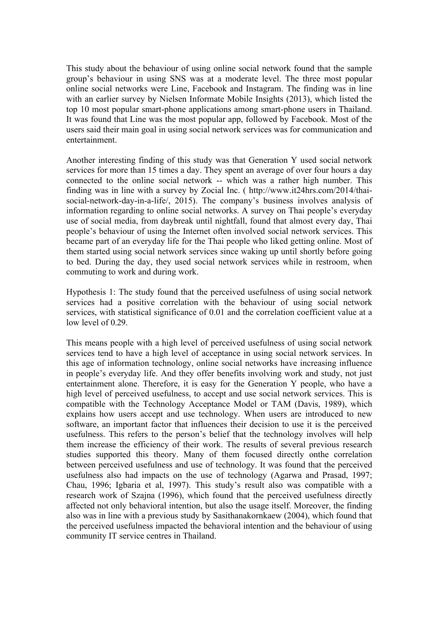This study about the behaviour of using online social network found that the sample group's behaviour in using SNS was at a moderate level. The three most popular online social networks were Line, Facebook and Instagram. The finding was in line with an earlier survey by Nielsen Informate Mobile Insights (2013), which listed the top 10 most popular smart-phone applications among smart-phone users in Thailand. It was found that Line was the most popular app, followed by Facebook. Most of the users said their main goal in using social network services was for communication and entertainment.

Another interesting finding of this study was that Generation Y used social network services for more than 15 times a day. They spent an average of over four hours a day connected to the online social network -- which was a rather high number. This finding was in line with a survey by Zocial Inc. ( http://www.it24hrs.com/2014/thaisocial-network-day-in-a-life/, 2015). The company's business involves analysis of information regarding to online social networks. A survey on Thai people's everyday use of social media, from daybreak until nightfall, found that almost every day, Thai people's behaviour of using the Internet often involved social network services. This became part of an everyday life for the Thai people who liked getting online. Most of them started using social network services since waking up until shortly before going to bed. During the day, they used social network services while in restroom, when commuting to work and during work.

Hypothesis 1: The study found that the perceived usefulness of using social network services had a positive correlation with the behaviour of using social network services, with statistical significance of 0.01 and the correlation coefficient value at a low level of 0.29.

This means people with a high level of perceived usefulness of using social network services tend to have a high level of acceptance in using social network services. In this age of information technology, online social networks have increasing influence in people's everyday life. And they offer benefits involving work and study, not just entertainment alone. Therefore, it is easy for the Generation Y people, who have a high level of perceived usefulness, to accept and use social network services. This is compatible with the Technology Acceptance Model or TAM (Davis, 1989), which explains how users accept and use technology. When users are introduced to new software, an important factor that influences their decision to use it is the perceived usefulness. This refers to the person's belief that the technology involves will help them increase the efficiency of their work. The results of several previous research studies supported this theory. Many of them focused directly onthe correlation between perceived usefulness and use of technology. It was found that the perceived usefulness also had impacts on the use of technology (Agarwa and Prasad, 1997; Chau, 1996; Igbaria et al, 1997). This study's result also was compatible with a research work of Szajna (1996), which found that the perceived usefulness directly affected not only behavioral intention, but also the usage itself. Moreover, the finding also was in line with a previous study by Sasithanakornkaew (2004), which found that the perceived usefulness impacted the behavioral intention and the behaviour of using community IT service centres in Thailand.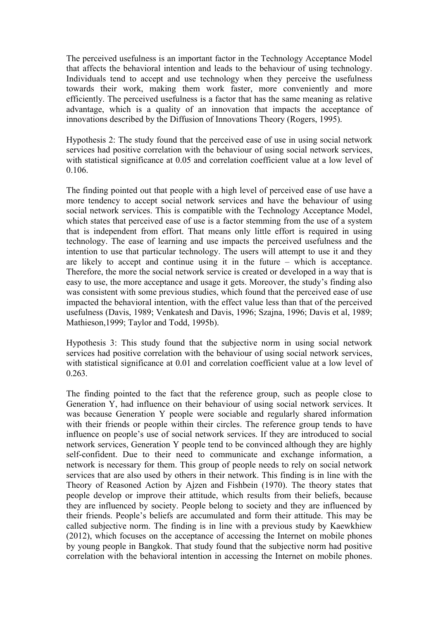The perceived usefulness is an important factor in the Technology Acceptance Model that affects the behavioral intention and leads to the behaviour of using technology. Individuals tend to accept and use technology when they perceive the usefulness towards their work, making them work faster, more conveniently and more efficiently. The perceived usefulness is a factor that has the same meaning as relative advantage, which is a quality of an innovation that impacts the acceptance of innovations described by the Diffusion of Innovations Theory (Rogers, 1995).

Hypothesis 2: The study found that the perceived ease of use in using social network services had positive correlation with the behaviour of using social network services, with statistical significance at 0.05 and correlation coefficient value at a low level of 0.106.

The finding pointed out that people with a high level of perceived ease of use have a more tendency to accept social network services and have the behaviour of using social network services. This is compatible with the Technology Acceptance Model, which states that perceived ease of use is a factor stemming from the use of a system that is independent from effort. That means only little effort is required in using technology. The ease of learning and use impacts the perceived usefulness and the intention to use that particular technology. The users will attempt to use it and they are likely to accept and continue using it in the future – which is acceptance. Therefore, the more the social network service is created or developed in a way that is easy to use, the more acceptance and usage it gets. Moreover, the study's finding also was consistent with some previous studies, which found that the perceived ease of use impacted the behavioral intention, with the effect value less than that of the perceived usefulness (Davis, 1989; Venkatesh and Davis, 1996; Szajna, 1996; Davis et al, 1989; Mathieson,1999; Taylor and Todd, 1995b).

Hypothesis 3: This study found that the subjective norm in using social network services had positive correlation with the behaviour of using social network services, with statistical significance at 0.01 and correlation coefficient value at a low level of 0.263.

The finding pointed to the fact that the reference group, such as people close to Generation Y, had influence on their behaviour of using social network services. It was because Generation Y people were sociable and regularly shared information with their friends or people within their circles. The reference group tends to have influence on people's use of social network services. If they are introduced to social network services, Generation Y people tend to be convinced although they are highly self-confident. Due to their need to communicate and exchange information, a network is necessary for them. This group of people needs to rely on social network services that are also used by others in their network. This finding is in line with the Theory of Reasoned Action by Ajzen and Fishbein (1970). The theory states that people develop or improve their attitude, which results from their beliefs, because they are influenced by society. People belong to society and they are influenced by their friends. People's beliefs are accumulated and form their attitude. This may be called subjective norm. The finding is in line with a previous study by Kaewkhiew (2012), which focuses on the acceptance of accessing the Internet on mobile phones by young people in Bangkok. That study found that the subjective norm had positive correlation with the behavioral intention in accessing the Internet on mobile phones.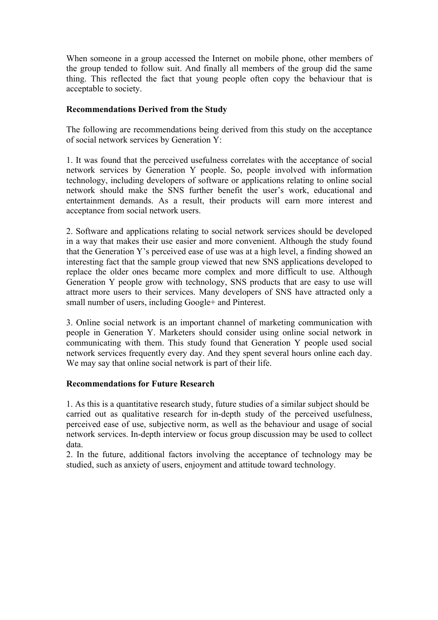When someone in a group accessed the Internet on mobile phone, other members of the group tended to follow suit. And finally all members of the group did the same thing. This reflected the fact that young people often copy the behaviour that is acceptable to society.

## **Recommendations Derived from the Study**

The following are recommendations being derived from this study on the acceptance of social network services by Generation Y:

1. It was found that the perceived usefulness correlates with the acceptance of social network services by Generation Y people. So, people involved with information technology, including developers of software or applications relating to online social network should make the SNS further benefit the user's work, educational and entertainment demands. As a result, their products will earn more interest and acceptance from social network users.

2. Software and applications relating to social network services should be developed in a way that makes their use easier and more convenient. Although the study found that the Generation Y's perceived ease of use was at a high level, a finding showed an interesting fact that the sample group viewed that new SNS applications developed to replace the older ones became more complex and more difficult to use. Although Generation Y people grow with technology, SNS products that are easy to use will attract more users to their services. Many developers of SNS have attracted only a small number of users, including Google+ and Pinterest.

3. Online social network is an important channel of marketing communication with people in Generation Y. Marketers should consider using online social network in communicating with them. This study found that Generation Y people used social network services frequently every day. And they spent several hours online each day. We may say that online social network is part of their life.

# **Recommendations for Future Research**

1. As this is a quantitative research study, future studies of a similar subject should be carried out as qualitative research for in-depth study of the perceived usefulness, perceived ease of use, subjective norm, as well as the behaviour and usage of social network services. In-depth interview or focus group discussion may be used to collect data.

2. In the future, additional factors involving the acceptance of technology may be studied, such as anxiety of users, enjoyment and attitude toward technology.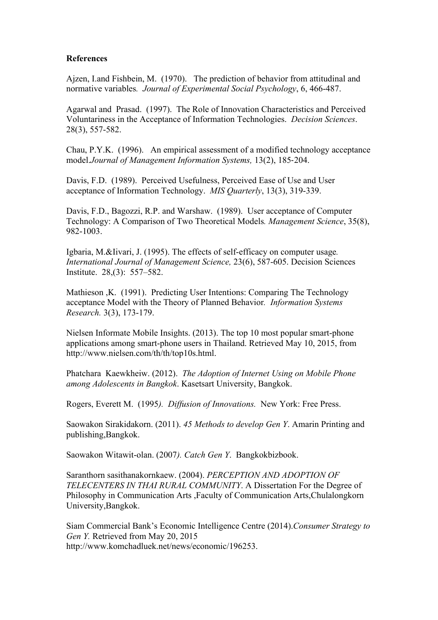### **References**

Ajzen, I.and Fishbein, M. (1970). The prediction of behavior from attitudinal and normative variables*. Journal of Experimental Social Psychology*, 6, 466-487.

Agarwal and Prasad. (1997). The Role of Innovation Characteristics and Perceived Voluntariness in the Acceptance of Information Technologies. *Decision Sciences*. 28(3), 557-582.

Chau, P.Y.K. (1996). An empirical assessment of a modified technology acceptance model.*Journal of Management Information Systems,* 13(2), 185-204.

Davis, F.D. (1989). Perceived Usefulness, Perceived Ease of Use and User acceptance of Information Technology. *MIS Quarterly*, 13(3), 319-339.

Davis, F.D., Bagozzi, R.P. and Warshaw. (1989). User acceptance of Computer Technology: A Comparison of Two Theoretical Models*. Management Science*, 35(8), 982-1003.

Igbaria, M.&Iivari, J. (1995). The effects of self-efficacy on computer usage*. International Journal of Management Science,* 23(6), 587-605. Decision Sciences Institute. 28,(3): 557–582.

Mathieson , K. (1991). Predicting User Intentions: Comparing The Technology acceptance Model with the Theory of Planned Behavior*. Information Systems Research.* 3(3), 173-179.

Nielsen Informate Mobile Insights. (2013). The top 10 most popular smart-phone applications among smart-phone users in Thailand. Retrieved May 10, 2015, from http://www.nielsen.com/th/th/top10s.html.

Phatchara Kaewkheiw. (2012). *The Adoption of Internet Using on Mobile Phone among Adolescents in Bangkok*. Kasetsart University, Bangkok.

Rogers, Everett M. (1995*). Diffusion of Innovations.* New York: Free Press.

Saowakon Sirakidakorn. (2011). *45 Methods to develop Gen Y*. Amarin Printing and publishing,Bangkok.

Saowakon Witawit-olan. (2007*). Catch Gen Y*. Bangkokbizbook.

Saranthorn sasithanakornkaew. (2004). *PERCEPTION AND ADOPTION OF TELECENTERS IN THAI RURAL COMMUNITY*. A Dissertation For the Degree of Philosophy in Communication Arts ,Faculty of Communication Arts,Chulalongkorn University,Bangkok.

Siam Commercial Bank's Economic Intelligence Centre (2014).*Consumer Strategy to Gen Y.* Retrieved from May 20, 2015 http://www.komchadluek.net/news/economic/196253.